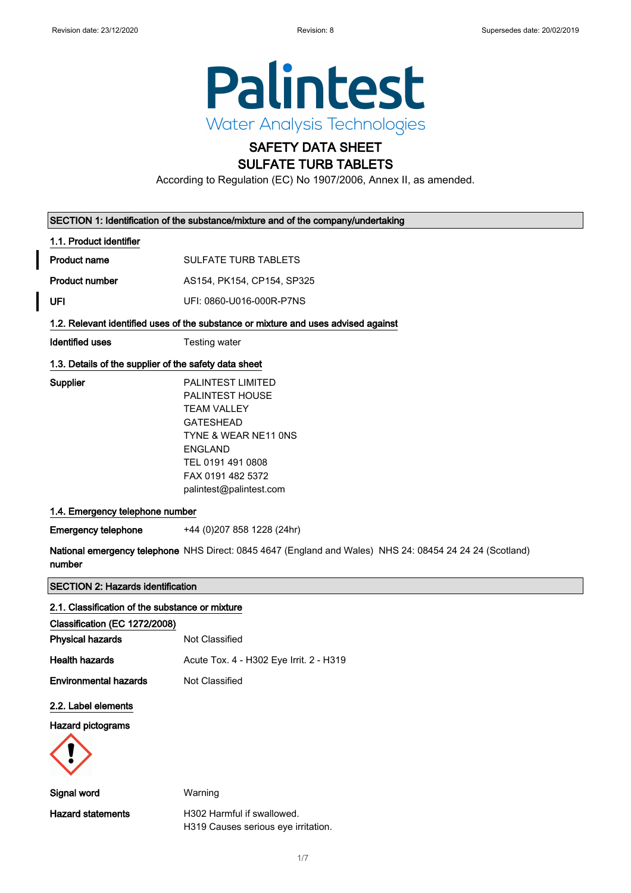

# SAFETY DATA SHEET SULFATE TURB TABLETS

According to Regulation (EC) No 1907/2006, Annex II, as amended.

|  |  | SECTION 1: Identification of the substance/mixture and of the company/undertaking |
|--|--|-----------------------------------------------------------------------------------|
|--|--|-----------------------------------------------------------------------------------|

## 1.1. Product identifier

- Product name SULFATE TURB TABLETS
- Product number AS154, PK154, CP154, SP325
- UFI UFI: 0860-U016-000R-P7NS

# 1.2. Relevant identified uses of the substance or mixture and uses advised against

**Identified uses** Testing water

## 1.3. Details of the supplier of the safety data sheet

Supplier

| PAI INTFST I IMITFD     |
|-------------------------|
| PAI INTFST HOUSF        |
| TFAM VALLEY             |
| GATESHEAD               |
| TYNE & WEAR NE11 ONS    |
| FNGI AND                |
| TFL 0191 491 0808       |
| FAX 0191 482 5372       |
| palintest@palintest.com |
|                         |

## 1.4. Emergency telephone number

Emergency telephone +44 (0)207 858 1228 (24hr)

National emergency telephone NHS Direct: 0845 4647 (England and Wales) NHS 24: 08454 24 24 24 (Scotland) number

## SECTION 2: Hazards identification

### 2.1. Classification of the substance or mixture

| Classification (EC 1272/2008) |                                         |
|-------------------------------|-----------------------------------------|
| <b>Physical hazards</b>       | Not Classified                          |
| <b>Health hazards</b>         | Acute Tox. 4 - H302 Eye Irrit. 2 - H319 |
| <b>Environmental hazards</b>  | Not Classified                          |

### 2.2. Label elements

Hazard pictograms



Signal word Warning Hazard statements H302 Harmful if swallowed. H319 Causes serious eye irritation.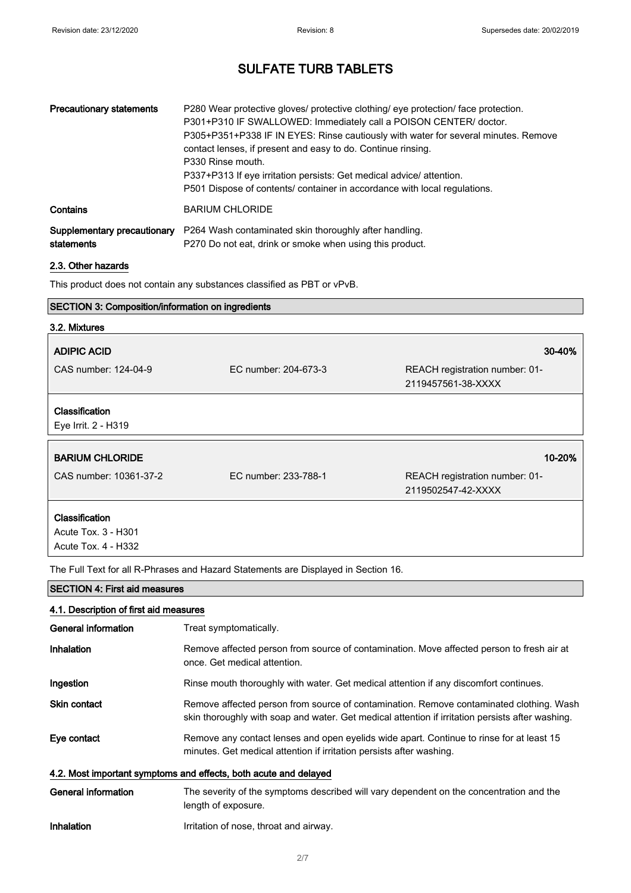| <b>Precautionary statements</b>           | P280 Wear protective gloves/ protective clothing/ eye protection/ face protection.<br>P301+P310 IF SWALLOWED: Immediately call a POISON CENTER/ doctor.<br>P305+P351+P338 IF IN EYES: Rinse cautiously with water for several minutes. Remove<br>contact lenses, if present and easy to do. Continue rinsing.<br>P330 Rinse mouth.<br>P337+P313 If eye irritation persists: Get medical advice/ attention.<br>P501 Dispose of contents/ container in accordance with local regulations. |
|-------------------------------------------|-----------------------------------------------------------------------------------------------------------------------------------------------------------------------------------------------------------------------------------------------------------------------------------------------------------------------------------------------------------------------------------------------------------------------------------------------------------------------------------------|
| Contains                                  | <b>BARIUM CHLORIDE</b>                                                                                                                                                                                                                                                                                                                                                                                                                                                                  |
| Supplementary precautionary<br>statements | P264 Wash contaminated skin thoroughly after handling.<br>P270 Do not eat, drink or smoke when using this product.                                                                                                                                                                                                                                                                                                                                                                      |

# 2.3. Other hazards

This product does not contain any substances classified as PBT or vPvB.

# SECTION 3: Composition/information on ingredients

## 3.2. Mixtures

| <b>ADIPIC ACID</b>                    |                      | 30-40%                         |
|---------------------------------------|----------------------|--------------------------------|
| CAS number: 124-04-9                  | EC number: 204-673-3 | REACH registration number: 01- |
|                                       |                      | 2119457561-38-XXXX             |
| Classification<br>Eye Irrit. 2 - H319 |                      |                                |
| <b>BARIUM CHLORIDE</b>                |                      | 10-20%                         |
| CAS number: 10361-37-2                | EC number: 233-788-1 | REACH registration number: 01- |
|                                       |                      | 2119502547-42-XXXX             |
|                                       |                      |                                |

Acute Tox. 4 - H332

The Full Text for all R-Phrases and Hazard Statements are Displayed in Section 16.

| <b>SECTION 4: First aid measures</b>   |                                                                                                                                                                                             |  |
|----------------------------------------|---------------------------------------------------------------------------------------------------------------------------------------------------------------------------------------------|--|
| 4.1. Description of first aid measures |                                                                                                                                                                                             |  |
| General information                    | Treat symptomatically.                                                                                                                                                                      |  |
| Inhalation                             | Remove affected person from source of contamination. Move affected person to fresh air at<br>once. Get medical attention.                                                                   |  |
| Ingestion                              | Rinse mouth thoroughly with water. Get medical attention if any discomfort continues.                                                                                                       |  |
| <b>Skin contact</b>                    | Remove affected person from source of contamination. Remove contaminated clothing. Wash<br>skin thoroughly with soap and water. Get medical attention if irritation persists after washing. |  |
| Eye contact                            | Remove any contact lenses and open eyelids wide apart. Continue to rinse for at least 15<br>minutes. Get medical attention if irritation persists after washing.                            |  |
|                                        | 4.2. Most important symptoms and effects, both acute and delayed                                                                                                                            |  |
| <b>General information</b>             | The severity of the symptoms described will vary dependent on the concentration and the<br>length of exposure.                                                                              |  |
| Inhalation                             | Irritation of nose, throat and airway.                                                                                                                                                      |  |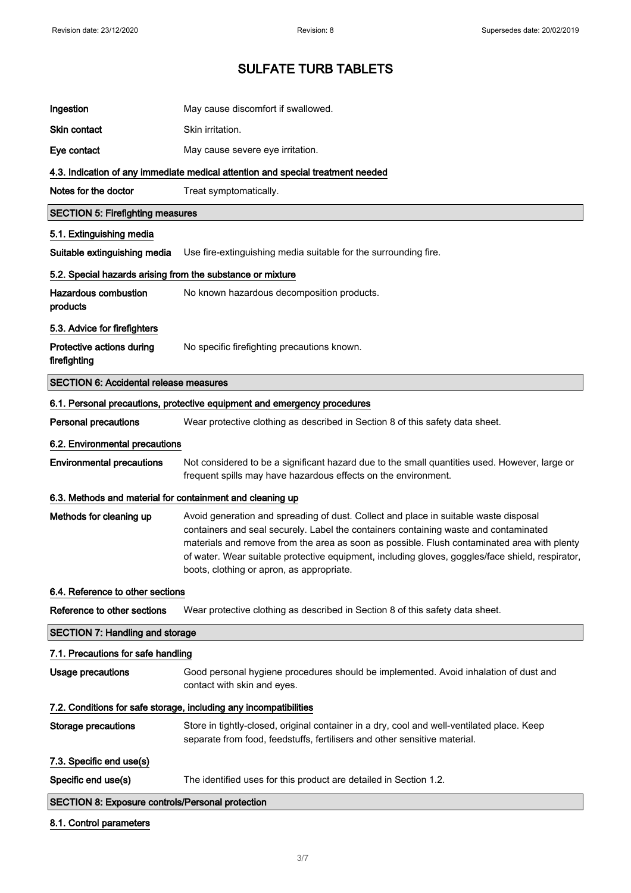| Ingestion                                                  | May cause discomfort if swallowed.                                                                                                                                                                                                                                                                                                                                                                                           |
|------------------------------------------------------------|------------------------------------------------------------------------------------------------------------------------------------------------------------------------------------------------------------------------------------------------------------------------------------------------------------------------------------------------------------------------------------------------------------------------------|
| <b>Skin contact</b>                                        | Skin irritation.                                                                                                                                                                                                                                                                                                                                                                                                             |
| Eye contact                                                | May cause severe eye irritation.                                                                                                                                                                                                                                                                                                                                                                                             |
|                                                            | 4.3. Indication of any immediate medical attention and special treatment needed                                                                                                                                                                                                                                                                                                                                              |
| Notes for the doctor                                       | Treat symptomatically.                                                                                                                                                                                                                                                                                                                                                                                                       |
| <b>SECTION 5: Firefighting measures</b>                    |                                                                                                                                                                                                                                                                                                                                                                                                                              |
| 5.1. Extinguishing media                                   |                                                                                                                                                                                                                                                                                                                                                                                                                              |
| Suitable extinguishing media                               | Use fire-extinguishing media suitable for the surrounding fire.                                                                                                                                                                                                                                                                                                                                                              |
| 5.2. Special hazards arising from the substance or mixture |                                                                                                                                                                                                                                                                                                                                                                                                                              |
| <b>Hazardous combustion</b><br>products                    | No known hazardous decomposition products.                                                                                                                                                                                                                                                                                                                                                                                   |
| 5.3. Advice for firefighters                               |                                                                                                                                                                                                                                                                                                                                                                                                                              |
| Protective actions during<br>firefighting                  | No specific firefighting precautions known.                                                                                                                                                                                                                                                                                                                                                                                  |
| <b>SECTION 6: Accidental release measures</b>              |                                                                                                                                                                                                                                                                                                                                                                                                                              |
|                                                            | 6.1. Personal precautions, protective equipment and emergency procedures                                                                                                                                                                                                                                                                                                                                                     |
| <b>Personal precautions</b>                                | Wear protective clothing as described in Section 8 of this safety data sheet.                                                                                                                                                                                                                                                                                                                                                |
| 6.2. Environmental precautions                             |                                                                                                                                                                                                                                                                                                                                                                                                                              |
| <b>Environmental precautions</b>                           | Not considered to be a significant hazard due to the small quantities used. However, large or<br>frequent spills may have hazardous effects on the environment.                                                                                                                                                                                                                                                              |
| 6.3. Methods and material for containment and cleaning up  |                                                                                                                                                                                                                                                                                                                                                                                                                              |
| Methods for cleaning up                                    | Avoid generation and spreading of dust. Collect and place in suitable waste disposal<br>containers and seal securely. Label the containers containing waste and contaminated<br>materials and remove from the area as soon as possible. Flush contaminated area with plenty<br>of water. Wear suitable protective equipment, including gloves, goggles/face shield, respirator,<br>boots, clothing or apron, as appropriate. |
| 6.4. Reference to other sections                           |                                                                                                                                                                                                                                                                                                                                                                                                                              |
| Reference to other sections                                | Wear protective clothing as described in Section 8 of this safety data sheet.                                                                                                                                                                                                                                                                                                                                                |
| <b>SECTION 7: Handling and storage</b>                     |                                                                                                                                                                                                                                                                                                                                                                                                                              |
| 7.1. Precautions for safe handling                         |                                                                                                                                                                                                                                                                                                                                                                                                                              |
| <b>Usage precautions</b>                                   | Good personal hygiene procedures should be implemented. Avoid inhalation of dust and<br>contact with skin and eyes.                                                                                                                                                                                                                                                                                                          |
|                                                            | 7.2. Conditions for safe storage, including any incompatibilities                                                                                                                                                                                                                                                                                                                                                            |
| Storage precautions                                        | Store in tightly-closed, original container in a dry, cool and well-ventilated place. Keep<br>separate from food, feedstuffs, fertilisers and other sensitive material.                                                                                                                                                                                                                                                      |
| 7.3. Specific end use(s)                                   |                                                                                                                                                                                                                                                                                                                                                                                                                              |
| Specific end use(s)                                        | The identified uses for this product are detailed in Section 1.2.                                                                                                                                                                                                                                                                                                                                                            |
| <b>SECTION 8: Exposure controls/Personal protection</b>    |                                                                                                                                                                                                                                                                                                                                                                                                                              |

# 8.1. Control parameters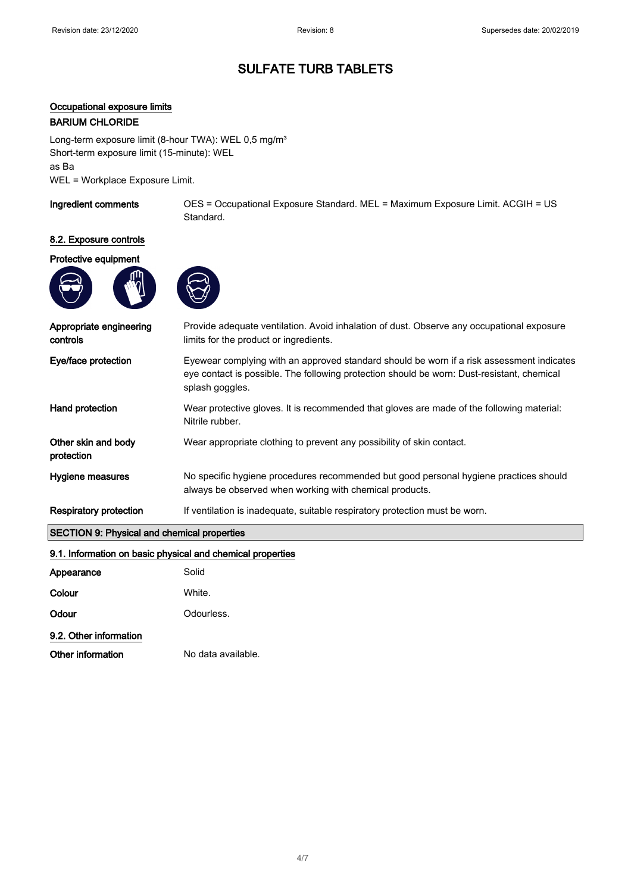# Occupational exposure limits

# BARIUM CHLORIDE

Long-term exposure limit (8-hour TWA): WEL 0,5 mg/m<sup>3</sup> Short-term exposure limit (15-minute): WEL as Ba WEL = Workplace Exposure Limit.

Ingredient comments OES = Occupational Exposure Standard. MEL = Maximum Exposure Limit. ACGIH = US Standard.

# 8.2. Exposure controls

# Protective equipment





| Appropriate engineering<br>controls                | Provide adequate ventilation. Avoid inhalation of dust. Observe any occupational exposure<br>limits for the product or ingredients.                                                                        |  |
|----------------------------------------------------|------------------------------------------------------------------------------------------------------------------------------------------------------------------------------------------------------------|--|
| Eye/face protection                                | Eyewear complying with an approved standard should be worn if a risk assessment indicates<br>eye contact is possible. The following protection should be worn: Dust-resistant, chemical<br>splash goggles. |  |
| Hand protection                                    | Wear protective gloves. It is recommended that gloves are made of the following material:<br>Nitrile rubber.                                                                                               |  |
| Other skin and body<br>protection                  | Wear appropriate clothing to prevent any possibility of skin contact.                                                                                                                                      |  |
| Hygiene measures                                   | No specific hygiene procedures recommended but good personal hygiene practices should<br>always be observed when working with chemical products.                                                           |  |
| <b>Respiratory protection</b>                      | If ventilation is inadequate, suitable respiratory protection must be worn.                                                                                                                                |  |
| <b>SECTION 9: Physical and chemical properties</b> |                                                                                                                                                                                                            |  |
|                                                    | 9.1. Information on basic physical and chemical properties                                                                                                                                                 |  |
| Appearance                                         | Solid                                                                                                                                                                                                      |  |
| Colour                                             | White.                                                                                                                                                                                                     |  |
| Odour                                              | Odourless.                                                                                                                                                                                                 |  |
| 9.2. Other information                             |                                                                                                                                                                                                            |  |

Other information No data available.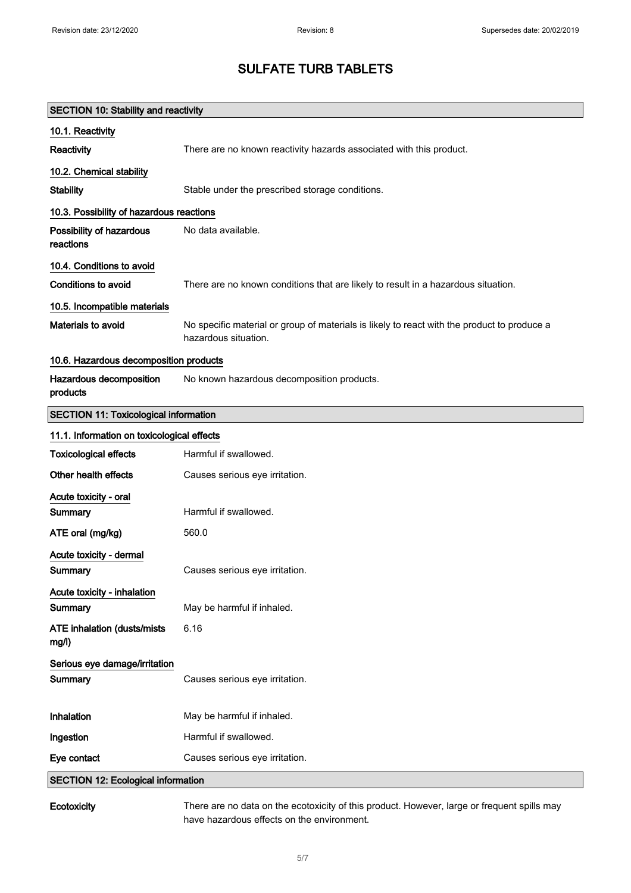| <b>SECTION 10: Stability and reactivity</b>  |                                                                                                                     |
|----------------------------------------------|---------------------------------------------------------------------------------------------------------------------|
| 10.1. Reactivity                             |                                                                                                                     |
| Reactivity                                   | There are no known reactivity hazards associated with this product.                                                 |
| 10.2. Chemical stability                     |                                                                                                                     |
| <b>Stability</b>                             | Stable under the prescribed storage conditions.                                                                     |
| 10.3. Possibility of hazardous reactions     |                                                                                                                     |
| Possibility of hazardous<br>reactions        | No data available.                                                                                                  |
| 10.4. Conditions to avoid                    |                                                                                                                     |
| <b>Conditions to avoid</b>                   | There are no known conditions that are likely to result in a hazardous situation.                                   |
| 10.5. Incompatible materials                 |                                                                                                                     |
| Materials to avoid                           | No specific material or group of materials is likely to react with the product to produce a<br>hazardous situation. |
| 10.6. Hazardous decomposition products       |                                                                                                                     |
| Hazardous decomposition<br>products          | No known hazardous decomposition products.                                                                          |
| <b>SECTION 11: Toxicological information</b> |                                                                                                                     |
| 11.1. Information on toxicological effects   |                                                                                                                     |
| <b>Toxicological effects</b>                 | Harmful if swallowed.                                                                                               |
| Other health effects                         | Causes serious eye irritation.                                                                                      |
| Acute toxicity - oral                        |                                                                                                                     |
| Summary                                      | Harmful if swallowed.                                                                                               |
| ATE oral (mg/kg)                             | 560.0                                                                                                               |
| Acute toxicity - dermal                      |                                                                                                                     |
| Summary                                      | Causes serious eye irritation.                                                                                      |
| Acute toxicity - inhalation<br>Summary       | May be harmful if inhaled.                                                                                          |
| <b>ATE inhalation (dusts/mists)</b><br>mg/l) | 6.16                                                                                                                |
| Serious eye damage/irritation<br>Summary     | Causes serious eye irritation.                                                                                      |
| Inhalation                                   | May be harmful if inhaled.                                                                                          |
| Ingestion                                    | Harmful if swallowed.                                                                                               |
| Eye contact                                  | Causes serious eye irritation.                                                                                      |
| <b>SECTION 12: Ecological information</b>    |                                                                                                                     |

Ecotoxicity There are no data on the ecotoxicity of this product. However, large or frequent spills may have hazardous effects on the environment.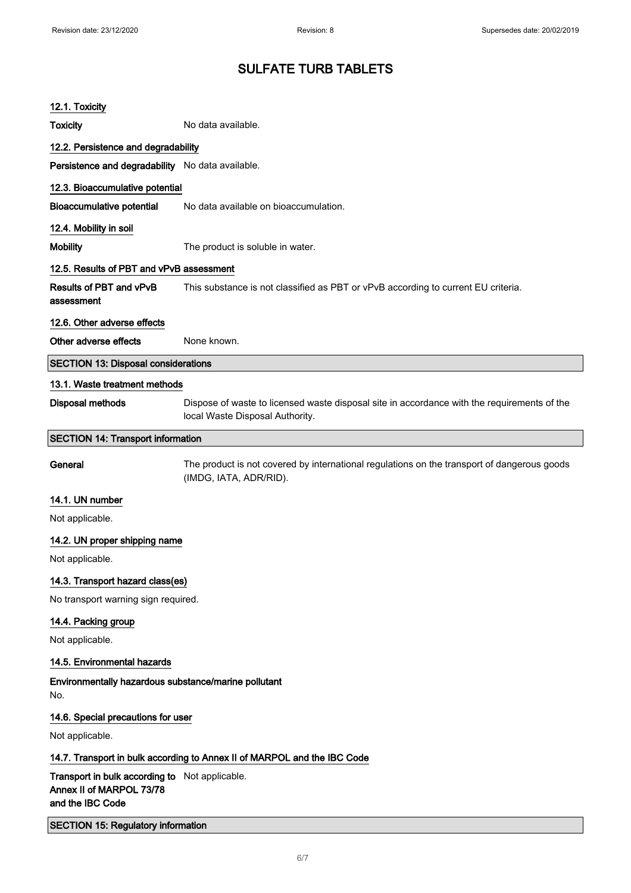| 12.1. Toxicity                                                                                 |                                                                                                                                |
|------------------------------------------------------------------------------------------------|--------------------------------------------------------------------------------------------------------------------------------|
| Toxicity                                                                                       | No data available.                                                                                                             |
| 12.2. Persistence and degradability                                                            |                                                                                                                                |
| Persistence and degradability No data available.                                               |                                                                                                                                |
| 12.3. Bioaccumulative potential                                                                |                                                                                                                                |
| <b>Bioaccumulative potential</b>                                                               | No data available on bioaccumulation.                                                                                          |
| 12.4. Mobility in soil                                                                         |                                                                                                                                |
| <b>Mobility</b>                                                                                | The product is soluble in water.                                                                                               |
| 12.5. Results of PBT and vPvB assessment                                                       |                                                                                                                                |
| <b>Results of PBT and vPvB</b><br>assessment                                                   | This substance is not classified as PBT or vPvB according to current EU criteria.                                              |
| 12.6. Other adverse effects                                                                    |                                                                                                                                |
| Other adverse effects                                                                          | None known.                                                                                                                    |
| <b>SECTION 13: Disposal considerations</b>                                                     |                                                                                                                                |
| 13.1. Waste treatment methods                                                                  |                                                                                                                                |
| Disposal methods                                                                               | Dispose of waste to licensed waste disposal site in accordance with the requirements of the<br>local Waste Disposal Authority. |
| <b>SECTION 14: Transport information</b>                                                       |                                                                                                                                |
| General                                                                                        | The product is not covered by international regulations on the transport of dangerous goods<br>(IMDG, IATA, ADR/RID).          |
| 14.1. UN number                                                                                |                                                                                                                                |
| Not applicable.                                                                                |                                                                                                                                |
| 14.2. UN proper shipping name                                                                  |                                                                                                                                |
| Not applicable.                                                                                |                                                                                                                                |
| 14.3. Transport hazard class(es)                                                               |                                                                                                                                |
| No transport warning sign required.                                                            |                                                                                                                                |
| 14.4. Packing group                                                                            |                                                                                                                                |
| Not applicable.                                                                                |                                                                                                                                |
| 14.5. Environmental hazards                                                                    |                                                                                                                                |
| Environmentally hazardous substance/marine pollutant<br>No.                                    |                                                                                                                                |
| 14.6. Special precautions for user                                                             |                                                                                                                                |
| Not applicable.                                                                                |                                                                                                                                |
|                                                                                                | 14.7. Transport in bulk according to Annex II of MARPOL and the IBC Code                                                       |
| Transport in bulk according to Not applicable.<br>Annex II of MARPOL 73/78<br>and the IBC Code |                                                                                                                                |
| <b>SECTION 15: Regulatory information</b>                                                      |                                                                                                                                |
|                                                                                                |                                                                                                                                |